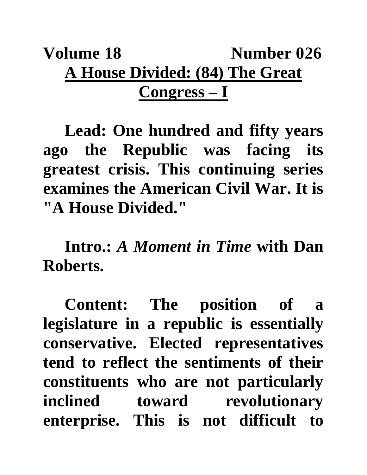## **Volume 18** Number 026 **A House Divided: (84) The Great Congress – I**

**Lead: One hundred and fifty years ago the Republic was facing its greatest crisis. This continuing series examines the American Civil War. It is "A House Divided."**

**Intro.:** *A Moment in Time* **with Dan Roberts.**

**Content: The position of a legislature in a republic is essentially conservative. Elected representatives tend to reflect the sentiments of their constituents who are not particularly inclined toward revolutionary enterprise. This is not difficult to**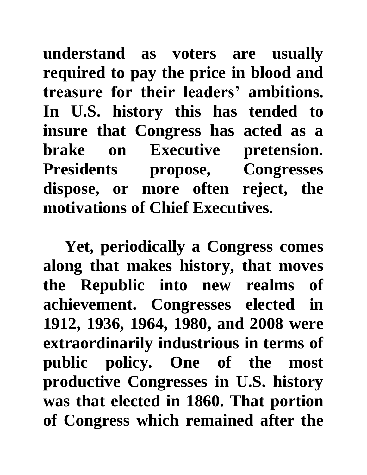**understand as voters are usually required to pay the price in blood and treasure for their leaders' ambitions. In U.S. history this has tended to insure that Congress has acted as a brake on Executive pretension. Presidents propose, Congresses dispose, or more often reject, the motivations of Chief Executives.**

**Yet, periodically a Congress comes along that makes history, that moves the Republic into new realms of achievement. Congresses elected in 1912, 1936, 1964, 1980, and 2008 were extraordinarily industrious in terms of public policy. One of the most productive Congresses in U.S. history was that elected in 1860. That portion of Congress which remained after the**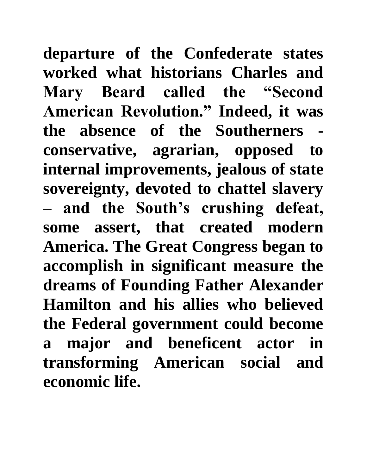**departure of the Confederate states worked what historians Charles and Mary Beard called the "Second American Revolution." Indeed, it was the absence of the Southerners conservative, agrarian, opposed to internal improvements, jealous of state sovereignty, devoted to chattel slavery – and the South's crushing defeat, some assert, that created modern America. The Great Congress began to accomplish in significant measure the dreams of Founding Father Alexander Hamilton and his allies who believed the Federal government could become a major and beneficent actor in transforming American social and economic life.**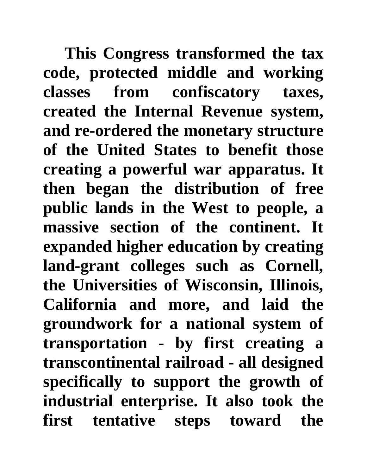**This Congress transformed the tax code, protected middle and working classes from confiscatory taxes, created the Internal Revenue system, and re-ordered the monetary structure of the United States to benefit those creating a powerful war apparatus. It then began the distribution of free public lands in the West to people, a massive section of the continent. It expanded higher education by creating land-grant colleges such as Cornell, the Universities of Wisconsin, Illinois, California and more, and laid the groundwork for a national system of transportation - by first creating a transcontinental railroad - all designed specifically to support the growth of industrial enterprise. It also took the first tentative steps toward the**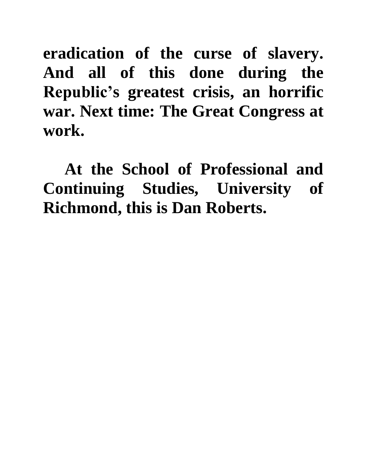**eradication of the curse of slavery. And all of this done during the Republic's greatest crisis, an horrific war. Next time: The Great Congress at work.**

**At the School of Professional and Continuing Studies, University of Richmond, this is Dan Roberts.**